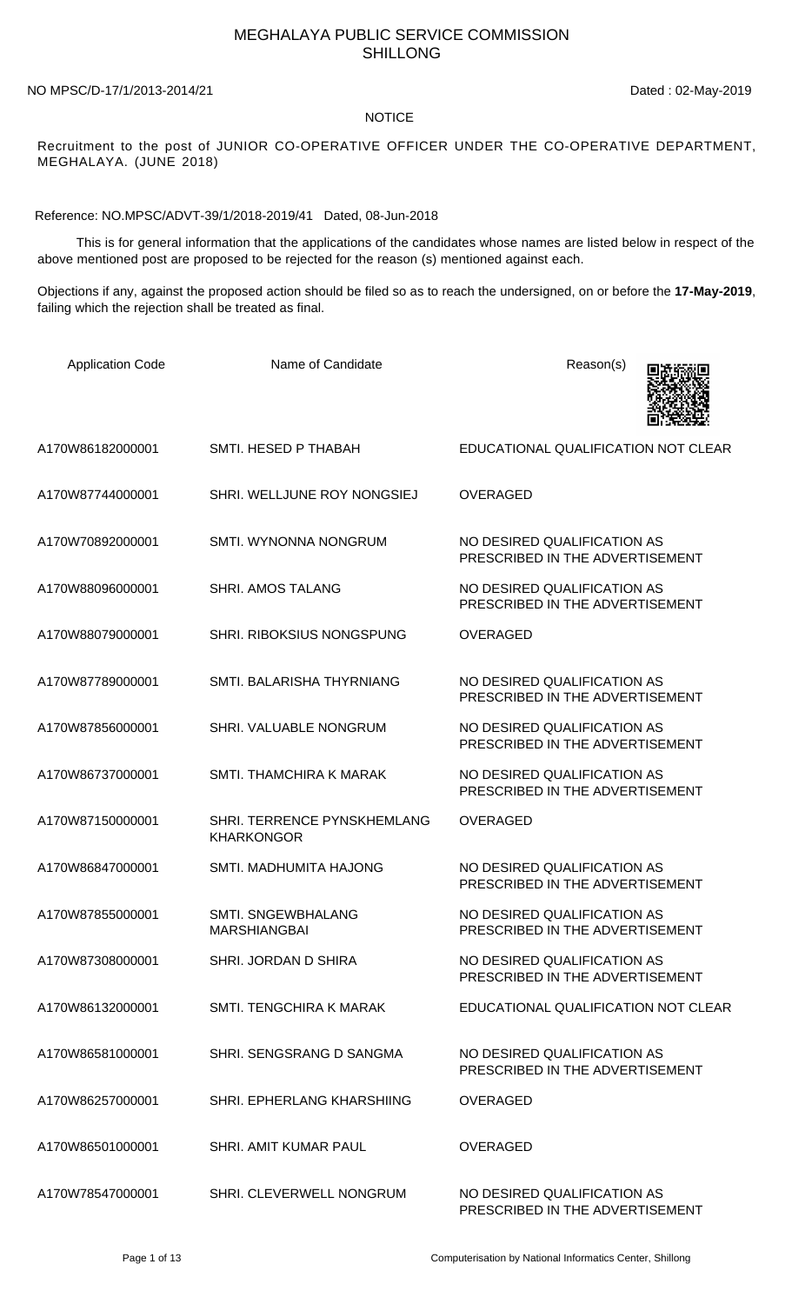## MEGHALAYA PUBLIC SERVICE COMMISSION SHILLONG

NO MPSC/D-17/1/2013-2014/21 Dated : 02-May-2019

## NOTICE

Recruitment to the post of JUNIOR CO-OPERATIVE OFFICER UNDER THE CO-OPERATIVE DEPARTMENT, MEGHALAYA. (JUNE 2018)

Reference: NO.MPSC/ADVT-39/1/2018-2019/41 Dated, 08-Jun-2018

 This is for general information that the applications of the candidates whose names are listed below in respect of the above mentioned post are proposed to be rejected for the reason (s) mentioned against each.

Objections if any, against the proposed action should be filed so as to reach the undersigned, on or before the **17-May-2019**, failing which the rejection shall be treated as final.

| <b>Application Code</b> | Name of Candidate                                | Reason(s)                                                      |
|-------------------------|--------------------------------------------------|----------------------------------------------------------------|
| A170W86182000001        | SMTI. HESED P THABAH                             | EDUCATIONAL QUALIFICATION NOT CLEAR                            |
| A170W87744000001        | SHRI. WELLJUNE ROY NONGSIEJ                      | <b>OVERAGED</b>                                                |
| A170W70892000001        | SMTI. WYNONNA NONGRUM                            | NO DESIRED QUALIFICATION AS<br>PRESCRIBED IN THE ADVERTISEMENT |
| A170W88096000001        | <b>SHRI. AMOS TALANG</b>                         | NO DESIRED QUALIFICATION AS<br>PRESCRIBED IN THE ADVERTISEMENT |
| A170W88079000001        | SHRI. RIBOKSIUS NONGSPUNG                        | <b>OVERAGED</b>                                                |
| A170W87789000001        | SMTI, BALARISHA THYRNIANG                        | NO DESIRED QUALIFICATION AS<br>PRESCRIBED IN THE ADVERTISEMENT |
| A170W87856000001        | SHRI. VALUABLE NONGRUM                           | NO DESIRED QUALIFICATION AS<br>PRESCRIBED IN THE ADVERTISEMENT |
| A170W86737000001        | SMTI. THAMCHIRA K MARAK                          | NO DESIRED QUALIFICATION AS<br>PRESCRIBED IN THE ADVERTISEMENT |
| A170W87150000001        | SHRI. TERRENCE PYNSKHEMLANG<br><b>KHARKONGOR</b> | <b>OVERAGED</b>                                                |
| A170W86847000001        | SMTI. MADHUMITA HAJONG                           | NO DESIRED QUALIFICATION AS<br>PRESCRIBED IN THE ADVERTISEMENT |
| A170W87855000001        | SMTI. SNGEWBHALANG<br><b>MARSHIANGBAI</b>        | NO DESIRED QUALIFICATION AS<br>PRESCRIBED IN THE ADVERTISEMENT |
| A170W87308000001        | SHRI. JORDAN D SHIRA                             | NO DESIRED QUALIFICATION AS<br>PRESCRIBED IN THE ADVERTISEMENT |
| A170W86132000001        | SMTI. TENGCHIRA K MARAK                          | EDUCATIONAL QUALIFICATION NOT CLEAR                            |
| A170W86581000001        | SHRI. SENGSRANG D SANGMA                         | NO DESIRED QUALIFICATION AS<br>PRESCRIBED IN THE ADVERTISEMENT |
| A170W86257000001        | SHRI. EPHERLANG KHARSHIING                       | <b>OVERAGED</b>                                                |
| A170W86501000001        | SHRI. AMIT KUMAR PAUL                            | <b>OVERAGED</b>                                                |
| A170W78547000001        | SHRI. CLEVERWELL NONGRUM                         | NO DESIRED QUALIFICATION AS<br>PRESCRIBED IN THE ADVERTISEMENT |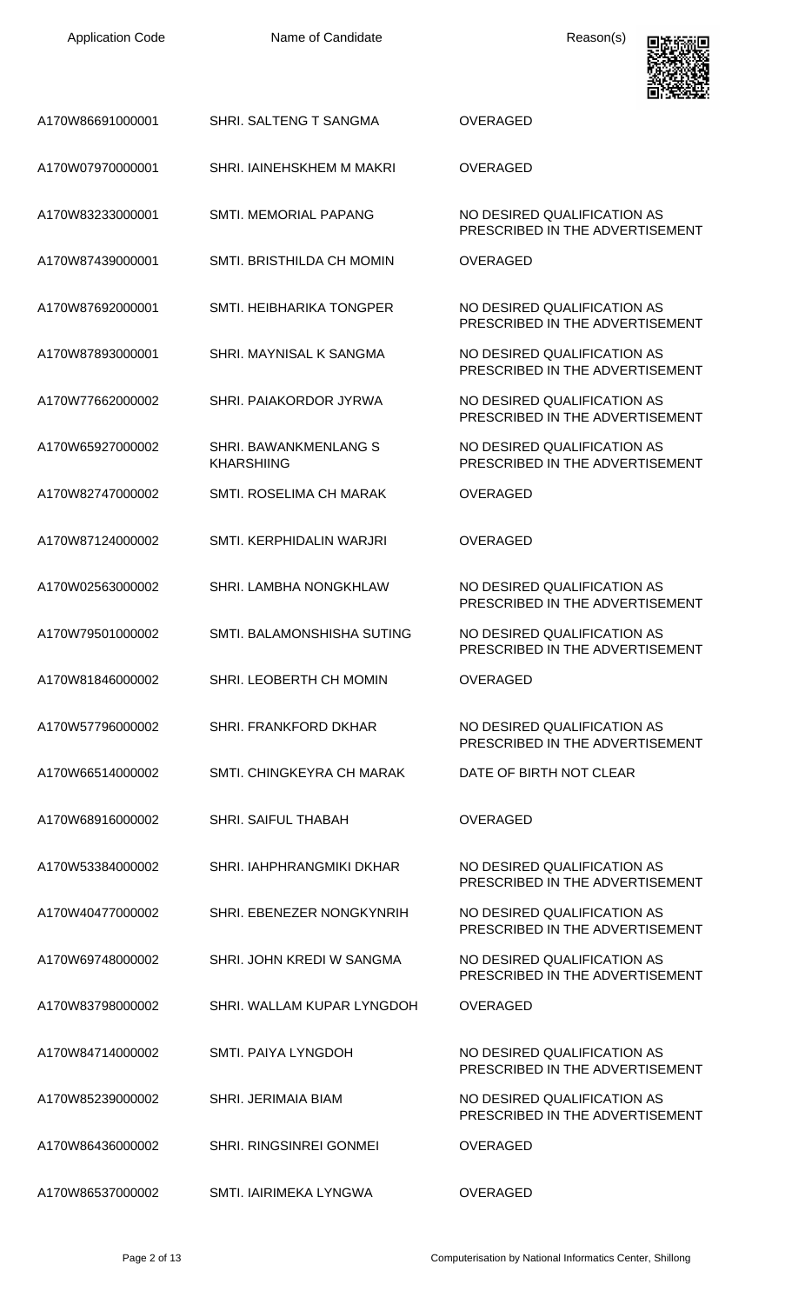| A170W86691000001 | SHRI, SALTENG T SANGMA                     | OVERAGED                                                       |
|------------------|--------------------------------------------|----------------------------------------------------------------|
| A170W07970000001 | SHRI. IAINEHSKHEM M MAKRI                  | OVERAGED                                                       |
| A170W83233000001 | <b>SMTI. MEMORIAL PAPANG</b>               | NO DESIRED QUALIFICATION AS<br>PRESCRIBED IN THE ADVERTISEMENT |
| A170W87439000001 | SMTI. BRISTHILDA CH MOMIN                  | OVERAGED                                                       |
| A170W87692000001 | <b>SMTI. HEIBHARIKA TONGPER</b>            | NO DESIRED QUALIFICATION AS<br>PRESCRIBED IN THE ADVERTISEMENT |
| A170W87893000001 | SHRI. MAYNISAL K SANGMA                    | NO DESIRED QUALIFICATION AS<br>PRESCRIBED IN THE ADVERTISEMENT |
| A170W77662000002 | SHRI. PAIAKORDOR JYRWA                     | NO DESIRED OUALIFICATION AS<br>PRESCRIBED IN THE ADVERTISEMENT |
| A170W65927000002 | SHRI. BAWANKMENLANG S<br><b>KHARSHIING</b> | NO DESIRED OUALIFICATION AS<br>PRESCRIBED IN THE ADVERTISEMENT |
| A170W82747000002 | <b>SMTI. ROSELIMA CH MARAK</b>             | <b>OVERAGED</b>                                                |
| A170W87124000002 | SMTI, KERPHIDALIN WARJRI                   | <b>OVERAGED</b>                                                |
| A170W02563000002 | SHRI. LAMBHA NONGKHLAW                     | NO DESIRED QUALIFICATION AS<br>PRESCRIBED IN THE ADVERTISEMENT |
| A170W79501000002 | SMTI. BALAMONSHISHA SUTING                 | NO DESIRED QUALIFICATION AS<br>PRESCRIBED IN THE ADVERTISEMENT |
| A170W81846000002 | SHRI. LEOBERTH CH MOMIN                    | OVERAGED                                                       |
| A170W57796000002 | <b>SHRI, FRANKFORD DKHAR</b>               | NO DESIRED QUALIFICATION AS<br>PRESCRIBED IN THE ADVERTISEMENT |
| A170W66514000002 | SMTI. CHINGKEYRA CH MARAK                  | DATE OF BIRTH NOT CLEAR                                        |
| A170W68916000002 | <b>SHRI, SAIFUL THABAH</b>                 | <b>OVERAGED</b>                                                |
| A170W53384000002 | SHRI. IAHPHRANGMIKI DKHAR                  | NO DESIRED QUALIFICATION AS<br>PRESCRIBED IN THE ADVERTISEMENT |
| A170W40477000002 | SHRI. EBENEZER NONGKYNRIH                  | NO DESIRED QUALIFICATION AS<br>PRESCRIBED IN THE ADVERTISEMENT |
| A170W69748000002 | SHRI. JOHN KREDI W SANGMA                  | NO DESIRED QUALIFICATION AS<br>PRESCRIBED IN THE ADVERTISEMENT |
| A170W83798000002 | SHRI. WALLAM KUPAR LYNGDOH                 | <b>OVERAGED</b>                                                |
| A170W84714000002 | SMTI. PAIYA LYNGDOH                        | NO DESIRED QUALIFICATION AS<br>PRESCRIBED IN THE ADVERTISEMENT |
| A170W85239000002 | SHRI, JERIMAIA BIAM                        | NO DESIRED QUALIFICATION AS<br>PRESCRIBED IN THE ADVERTISEMENT |
| A170W86436000002 | <b>SHRI. RINGSINREI GONMEI</b>             | <b>OVERAGED</b>                                                |
| A170W86537000002 | SMTI. IAIRIMEKA LYNGWA                     | <b>OVERAGED</b>                                                |

回激的

 $\blacksquare$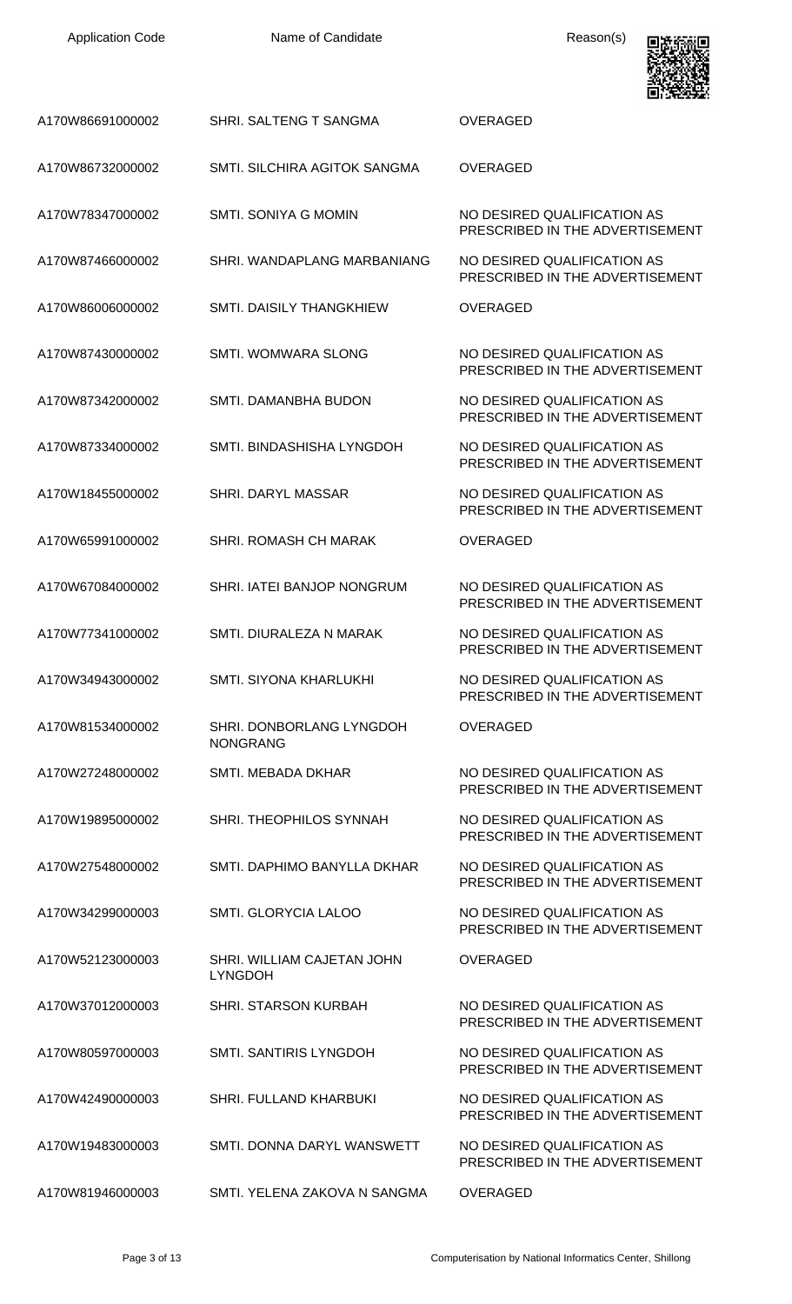| <b>Application Code</b> |  |
|-------------------------|--|
|-------------------------|--|

Name of Candidate **Reason(s)** 



| A170W86691000002 | SHRI. SALTENG T SANGMA                       | OVERAGED                                                       |
|------------------|----------------------------------------------|----------------------------------------------------------------|
| A170W86732000002 | SMTI. SILCHIRA AGITOK SANGMA                 | OVERAGED                                                       |
| A170W78347000002 | <b>SMTI, SONIYA G MOMIN</b>                  | NO DESIRED QUALIFICATION AS<br>PRESCRIBED IN THE ADVERTISEMENT |
| A170W87466000002 | SHRI. WANDAPLANG MARBANIANG                  | NO DESIRED QUALIFICATION AS<br>PRESCRIBED IN THE ADVERTISEMENT |
| A170W86006000002 | SMTI. DAISILY THANGKHIEW                     | <b>OVERAGED</b>                                                |
| A170W87430000002 | SMTI, WOMWARA SLONG                          | NO DESIRED QUALIFICATION AS<br>PRESCRIBED IN THE ADVERTISEMENT |
| A170W87342000002 | SMTI. DAMANBHA BUDON                         | NO DESIRED QUALIFICATION AS<br>PRESCRIBED IN THE ADVERTISEMENT |
| A170W87334000002 | SMTI. BINDASHISHA LYNGDOH                    | NO DESIRED QUALIFICATION AS<br>PRESCRIBED IN THE ADVERTISEMENT |
| A170W18455000002 | SHRI. DARYL MASSAR                           | NO DESIRED QUALIFICATION AS<br>PRESCRIBED IN THE ADVERTISEMENT |
| A170W65991000002 | SHRI. ROMASH CH MARAK                        | <b>OVERAGED</b>                                                |
| A170W67084000002 | SHRI. IATEI BANJOP NONGRUM                   | NO DESIRED QUALIFICATION AS<br>PRESCRIBED IN THE ADVERTISEMENT |
| A170W77341000002 | SMTI. DIURALEZA N MARAK                      | NO DESIRED QUALIFICATION AS<br>PRESCRIBED IN THE ADVERTISEMENT |
| A170W34943000002 | SMTI. SIYONA KHARLUKHI                       | NO DESIRED QUALIFICATION AS<br>PRESCRIBED IN THE ADVERTISEMENT |
| A170W81534000002 | SHRI. DONBORLANG LYNGDOH<br><b>NONGRANG</b>  | <b>OVERAGED</b>                                                |
| A170W27248000002 | SMTI. MEBADA DKHAR                           | NO DESIRED QUALIFICATION AS<br>PRESCRIBED IN THE ADVERTISEMENT |
| A170W19895000002 | SHRI. THEOPHILOS SYNNAH                      | NO DESIRED QUALIFICATION AS<br>PRESCRIBED IN THE ADVERTISEMENT |
| A170W27548000002 | SMTI. DAPHIMO BANYLLA DKHAR                  | NO DESIRED QUALIFICATION AS<br>PRESCRIBED IN THE ADVERTISEMENT |
| A170W34299000003 | SMTI. GLORYCIA LALOO                         | NO DESIRED QUALIFICATION AS<br>PRESCRIBED IN THE ADVERTISEMENT |
| A170W52123000003 | SHRI. WILLIAM CAJETAN JOHN<br><b>LYNGDOH</b> | <b>OVERAGED</b>                                                |
| A170W37012000003 | <b>SHRI. STARSON KURBAH</b>                  | NO DESIRED QUALIFICATION AS<br>PRESCRIBED IN THE ADVERTISEMENT |
| A170W80597000003 | SMTI. SANTIRIS LYNGDOH                       | NO DESIRED QUALIFICATION AS<br>PRESCRIBED IN THE ADVERTISEMENT |
| A170W42490000003 | SHRI. FULLAND KHARBUKI                       | NO DESIRED QUALIFICATION AS<br>PRESCRIBED IN THE ADVERTISEMENT |
| A170W19483000003 | SMTI. DONNA DARYL WANSWETT                   | NO DESIRED QUALIFICATION AS<br>PRESCRIBED IN THE ADVERTISEMENT |
| A170W81946000003 | SMTI. YELENA ZAKOVA N SANGMA                 | <b>OVERAGED</b>                                                |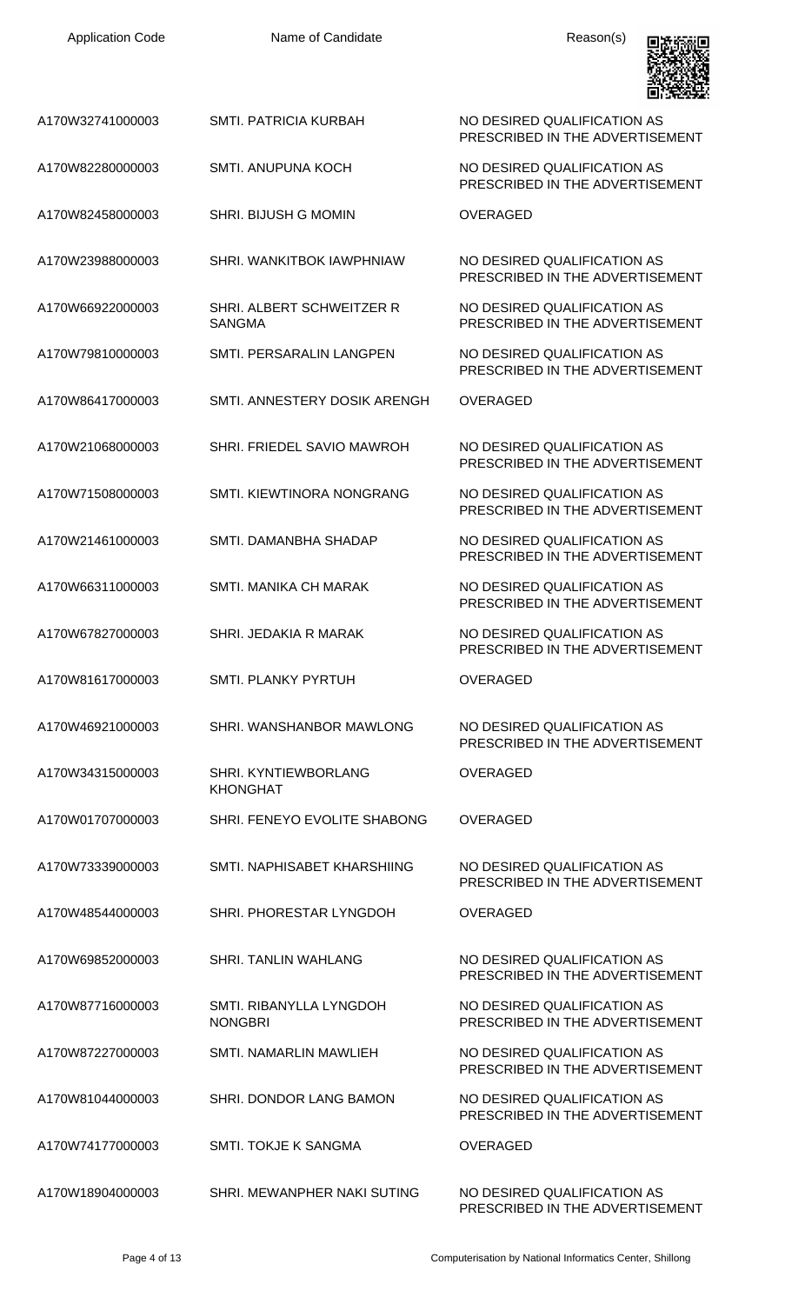| <b>Application Code</b> | Name of Candidate                              | Reason(s)                                                      |
|-------------------------|------------------------------------------------|----------------------------------------------------------------|
| A170W32741000003        | <b>SMTI. PATRICIA KURBAH</b>                   | NO DESIRED QUALIFICATION AS<br>PRESCRIBED IN THE ADVERTISEMENT |
| A170W82280000003        | <b>SMTI. ANUPUNA KOCH</b>                      | NO DESIRED QUALIFICATION AS<br>PRESCRIBED IN THE ADVERTISEMENT |
| A170W82458000003        | SHRI. BIJUSH G MOMIN                           | <b>OVERAGED</b>                                                |
| A170W23988000003        | SHRI. WANKITBOK IAWPHNIAW                      | NO DESIRED QUALIFICATION AS<br>PRESCRIBED IN THE ADVERTISEMENT |
| A170W66922000003        | SHRI. ALBERT SCHWEITZER R<br><b>SANGMA</b>     | NO DESIRED QUALIFICATION AS<br>PRESCRIBED IN THE ADVERTISEMENT |
| A170W79810000003        | SMTI. PERSARALIN LANGPEN                       | NO DESIRED QUALIFICATION AS<br>PRESCRIBED IN THE ADVERTISEMENT |
| A170W86417000003        | SMTI. ANNESTERY DOSIK ARENGH                   | <b>OVERAGED</b>                                                |
| A170W21068000003        | SHRI. FRIEDEL SAVIO MAWROH                     | NO DESIRED QUALIFICATION AS<br>PRESCRIBED IN THE ADVERTISEMENT |
| A170W71508000003        | SMTI. KIEWTINORA NONGRANG                      | NO DESIRED QUALIFICATION AS<br>PRESCRIBED IN THE ADVERTISEMENT |
| A170W21461000003        | SMTI. DAMANBHA SHADAP                          | NO DESIRED QUALIFICATION AS<br>PRESCRIBED IN THE ADVERTISEMENT |
| A170W66311000003        | SMTI. MANIKA CH MARAK                          | NO DESIRED QUALIFICATION AS<br>PRESCRIBED IN THE ADVERTISEMENT |
| A170W67827000003        | SHRI. JEDAKIA R MARAK                          | NO DESIRED QUALIFICATION AS<br>PRESCRIBED IN THE ADVERTISEMENT |
| A170W81617000003        | SMTI. PLANKY PYRTUH                            | <b>OVERAGED</b>                                                |
| A170W46921000003        | SHRI. WANSHANBOR MAWLONG                       | NO DESIRED QUALIFICATION AS<br>PRESCRIBED IN THE ADVERTISEMENT |
| A170W34315000003        | <b>SHRI. KYNTIEWBORLANG</b><br><b>KHONGHAT</b> | <b>OVERAGED</b>                                                |
| A170W01707000003        | SHRI. FENEYO EVOLITE SHABONG                   | <b>OVERAGED</b>                                                |
| A170W73339000003        | SMTI, NAPHISABET KHARSHIING                    | NO DESIRED QUALIFICATION AS<br>PRESCRIBED IN THE ADVERTISEMENT |
| A170W48544000003        | SHRI. PHORESTAR LYNGDOH                        | <b>OVERAGED</b>                                                |
| A170W69852000003        | <b>SHRI. TANLIN WAHLANG</b>                    | NO DESIRED QUALIFICATION AS<br>PRESCRIBED IN THE ADVERTISEMENT |
| A170W87716000003        | SMTI. RIBANYLLA LYNGDOH<br><b>NONGBRI</b>      | NO DESIRED QUALIFICATION AS<br>PRESCRIBED IN THE ADVERTISEMENT |
| A170W87227000003        | SMTI. NAMARLIN MAWLIEH                         | NO DESIRED QUALIFICATION AS<br>PRESCRIBED IN THE ADVERTISEMENT |
| A170W81044000003        | SHRI. DONDOR LANG BAMON                        | NO DESIRED QUALIFICATION AS<br>PRESCRIBED IN THE ADVERTISEMENT |
| A170W74177000003        | <b>SMTI. TOKJE K SANGMA</b>                    | <b>OVERAGED</b>                                                |
| A170W18904000003        | SHRI. MEWANPHER NAKI SUTING                    | NO DESIRED QUALIFICATION AS<br>PRESCRIBED IN THE ADVERTISEMENT |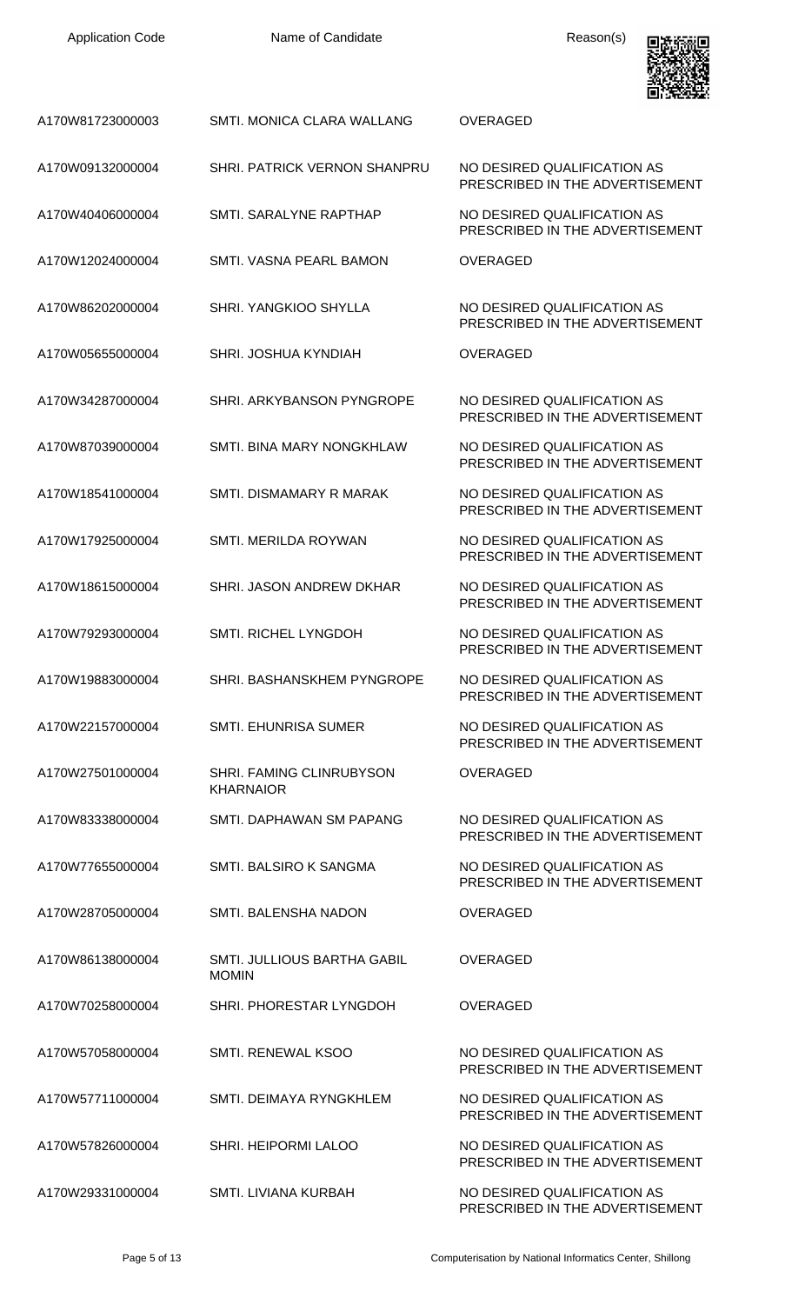| <b>Application Code</b> | Name of Candidate                                   | Reason(s)                                                      |
|-------------------------|-----------------------------------------------------|----------------------------------------------------------------|
| A170W81723000003        | SMTI. MONICA CLARA WALLANG                          | <b>OVERAGED</b>                                                |
| A170W09132000004        | <b>SHRI. PATRICK VERNON SHANPRU</b>                 | NO DESIRED QUALIFICATION AS<br>PRESCRIBED IN THE ADVERTISEMENT |
| A170W40406000004        | SMTI, SARALYNE RAPTHAP                              | NO DESIRED QUALIFICATION AS<br>PRESCRIBED IN THE ADVERTISEMENT |
| A170W12024000004        | SMTI. VASNA PEARL BAMON                             | <b>OVERAGED</b>                                                |
| A170W86202000004        | <b>SHRI. YANGKIOO SHYLLA</b>                        | NO DESIRED QUALIFICATION AS<br>PRESCRIBED IN THE ADVERTISEMENT |
| A170W05655000004        | <b>SHRI. JOSHUA KYNDIAH</b>                         | <b>OVERAGED</b>                                                |
| A170W34287000004        | SHRI. ARKYBANSON PYNGROPE                           | NO DESIRED QUALIFICATION AS<br>PRESCRIBED IN THE ADVERTISEMENT |
| A170W87039000004        | SMTI. BINA MARY NONGKHLAW                           | NO DESIRED QUALIFICATION AS<br>PRESCRIBED IN THE ADVERTISEMENT |
| A170W18541000004        | SMTI, DISMAMARY R MARAK                             | NO DESIRED QUALIFICATION AS<br>PRESCRIBED IN THE ADVERTISEMENT |
| A170W17925000004        | <b>SMTI, MERILDA ROYWAN</b>                         | NO DESIRED QUALIFICATION AS<br>PRESCRIBED IN THE ADVERTISEMENT |
| A170W18615000004        | SHRI. JASON ANDREW DKHAR                            | NO DESIRED QUALIFICATION AS<br>PRESCRIBED IN THE ADVERTISEMENT |
| A170W79293000004        | <b>SMTI. RICHEL LYNGDOH</b>                         | NO DESIRED QUALIFICATION AS<br>PRESCRIBED IN THE ADVERTISEMENT |
| A170W19883000004        | SHRI. BASHANSKHEM PYNGROPE                          | NO DESIRED QUALIFICATION AS<br>PRESCRIBED IN THE ADVERTISEMENT |
| A170W22157000004        | <b>SMTI. EHUNRISA SUMER</b>                         | NO DESIRED QUALIFICATION AS<br>PRESCRIBED IN THE ADVERTISEMENT |
| A170W27501000004        | <b>SHRI. FAMING CLINRUBYSON</b><br><b>KHARNAIOR</b> | <b>OVERAGED</b>                                                |
| A170W83338000004        | SMTI. DAPHAWAN SM PAPANG                            | NO DESIRED QUALIFICATION AS<br>PRESCRIBED IN THE ADVERTISEMENT |
| A170W77655000004        | SMTI. BALSIRO K SANGMA                              | NO DESIRED QUALIFICATION AS<br>PRESCRIBED IN THE ADVERTISEMENT |
| A170W28705000004        | SMTI. BALENSHA NADON                                | <b>OVERAGED</b>                                                |
| A170W86138000004        | <b>SMTI. JULLIOUS BARTHA GABIL</b><br><b>MOMIN</b>  | <b>OVERAGED</b>                                                |
| A170W70258000004        | SHRI. PHORESTAR LYNGDOH                             | <b>OVERAGED</b>                                                |
| A170W57058000004        | SMTI. RENEWAL KSOO                                  | NO DESIRED QUALIFICATION AS<br>PRESCRIBED IN THE ADVERTISEMENT |
| A170W57711000004        | SMTI. DEIMAYA RYNGKHLEM                             | NO DESIRED QUALIFICATION AS<br>PRESCRIBED IN THE ADVERTISEMENT |
| A170W57826000004        | <b>SHRI. HEIPORMI LALOO</b>                         | NO DESIRED QUALIFICATION AS<br>PRESCRIBED IN THE ADVERTISEMENT |
| A170W29331000004        | SMTI. LIVIANA KURBAH                                | NO DESIRED QUALIFICATION AS<br>PRESCRIBED IN THE ADVERTISEMENT |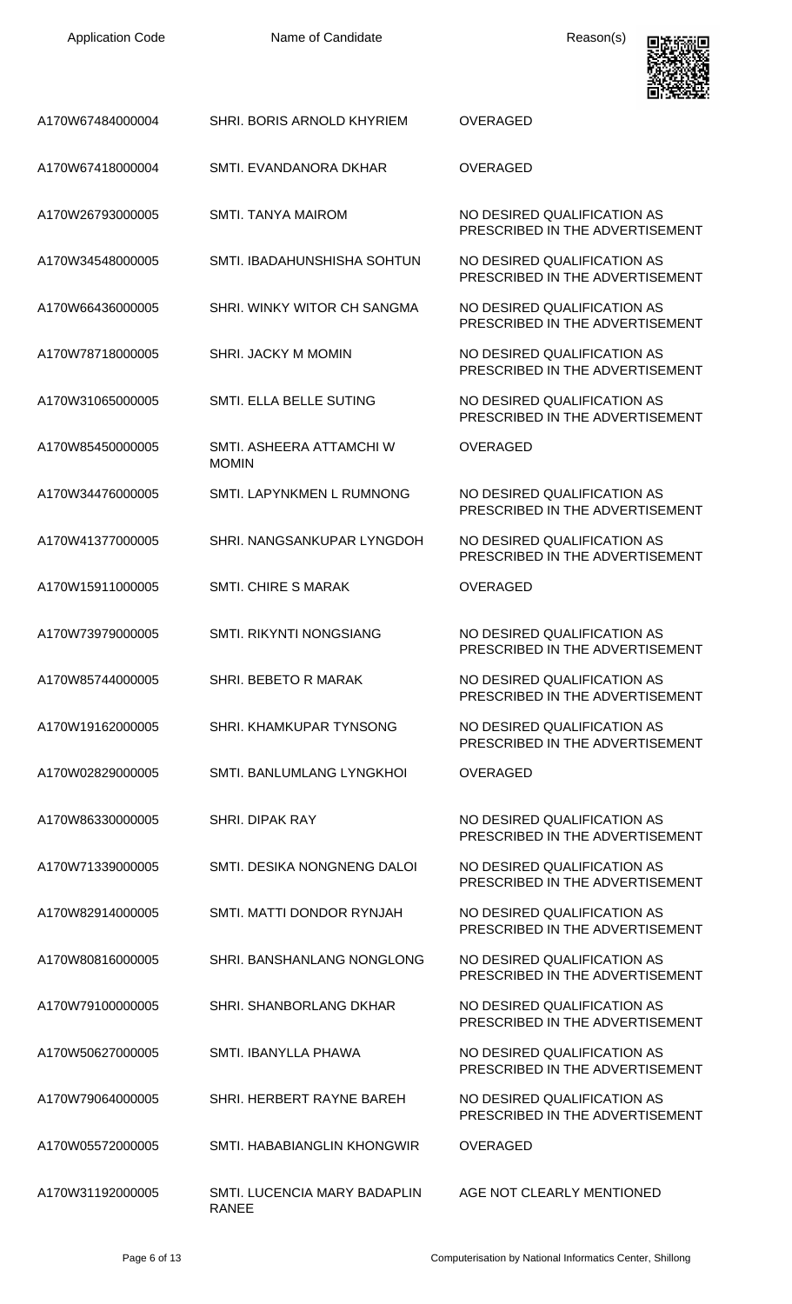| <b>Application Code</b> |  |
|-------------------------|--|
|-------------------------|--|

Name of Candidate **Reason(s)** 



| A170W67484000004 | SHRI. BORIS ARNOLD KHYRIEM                   | OVERAGED                                                       |
|------------------|----------------------------------------------|----------------------------------------------------------------|
| A170W67418000004 | SMTL EVANDANORA DKHAR                        | <b>OVERAGED</b>                                                |
| A170W26793000005 | <b>SMTI. TANYA MAIROM</b>                    | NO DESIRED QUALIFICATION AS<br>PRESCRIBED IN THE ADVERTISEMENT |
| A170W34548000005 | SMTI. IBADAHUNSHISHA SOHTUN                  | NO DESIRED QUALIFICATION AS<br>PRESCRIBED IN THE ADVERTISEMENT |
| A170W66436000005 | SHRI. WINKY WITOR CH SANGMA                  | NO DESIRED QUALIFICATION AS<br>PRESCRIBED IN THE ADVERTISEMENT |
| A170W78718000005 | <b>SHRI. JACKY M MOMIN</b>                   | NO DESIRED QUALIFICATION AS<br>PRESCRIBED IN THE ADVERTISEMENT |
| A170W31065000005 | SMTI. ELLA BELLE SUTING                      | NO DESIRED QUALIFICATION AS<br>PRESCRIBED IN THE ADVERTISEMENT |
| A170W85450000005 | SMTI. ASHEERA ATTAMCHI W<br><b>MOMIN</b>     | <b>OVERAGED</b>                                                |
| A170W34476000005 | SMTI. LAPYNKMEN L RUMNONG                    | NO DESIRED QUALIFICATION AS<br>PRESCRIBED IN THE ADVERTISEMENT |
| A170W41377000005 | SHRI. NANGSANKUPAR LYNGDOH                   | NO DESIRED QUALIFICATION AS<br>PRESCRIBED IN THE ADVERTISEMENT |
| A170W15911000005 | <b>SMTI. CHIRE S MARAK</b>                   | <b>OVERAGED</b>                                                |
| A170W73979000005 | <b>SMTI. RIKYNTI NONGSIANG</b>               | NO DESIRED QUALIFICATION AS<br>PRESCRIBED IN THE ADVERTISEMENT |
| A170W85744000005 | SHRI. BEBETO R MARAK                         | NO DESIRED QUALIFICATION AS<br>PRESCRIBED IN THE ADVERTISEMENT |
| A170W19162000005 | SHRI. KHAMKUPAR TYNSONG                      | NO DESIRED QUALIFICATION AS<br>PRESCRIBED IN THE ADVERTISEMENT |
| A170W02829000005 | SMTI. BANLUMLANG LYNGKHOI                    | <b>OVERAGED</b>                                                |
| A170W86330000005 | <b>SHRI. DIPAK RAY</b>                       | NO DESIRED QUALIFICATION AS<br>PRESCRIBED IN THE ADVERTISEMENT |
| A170W71339000005 | SMTI. DESIKA NONGNENG DALOI                  | NO DESIRED QUALIFICATION AS<br>PRESCRIBED IN THE ADVERTISEMENT |
| A170W82914000005 | SMTI. MATTI DONDOR RYNJAH                    | NO DESIRED QUALIFICATION AS<br>PRESCRIBED IN THE ADVERTISEMENT |
| A170W80816000005 | SHRI. BANSHANLANG NONGLONG                   | NO DESIRED QUALIFICATION AS<br>PRESCRIBED IN THE ADVERTISEMENT |
| A170W79100000005 | SHRI. SHANBORLANG DKHAR                      | NO DESIRED QUALIFICATION AS<br>PRESCRIBED IN THE ADVERTISEMENT |
| A170W50627000005 | SMTI. IBANYLLA PHAWA                         | NO DESIRED QUALIFICATION AS<br>PRESCRIBED IN THE ADVERTISEMENT |
| A170W79064000005 | SHRI. HERBERT RAYNE BAREH                    | NO DESIRED QUALIFICATION AS<br>PRESCRIBED IN THE ADVERTISEMENT |
| A170W05572000005 | SMTI. HABABIANGLIN KHONGWIR                  | <b>OVERAGED</b>                                                |
| A170W31192000005 | SMTI. LUCENCIA MARY BADAPLIN<br><b>RANEE</b> | AGE NOT CLEARLY MENTIONED                                      |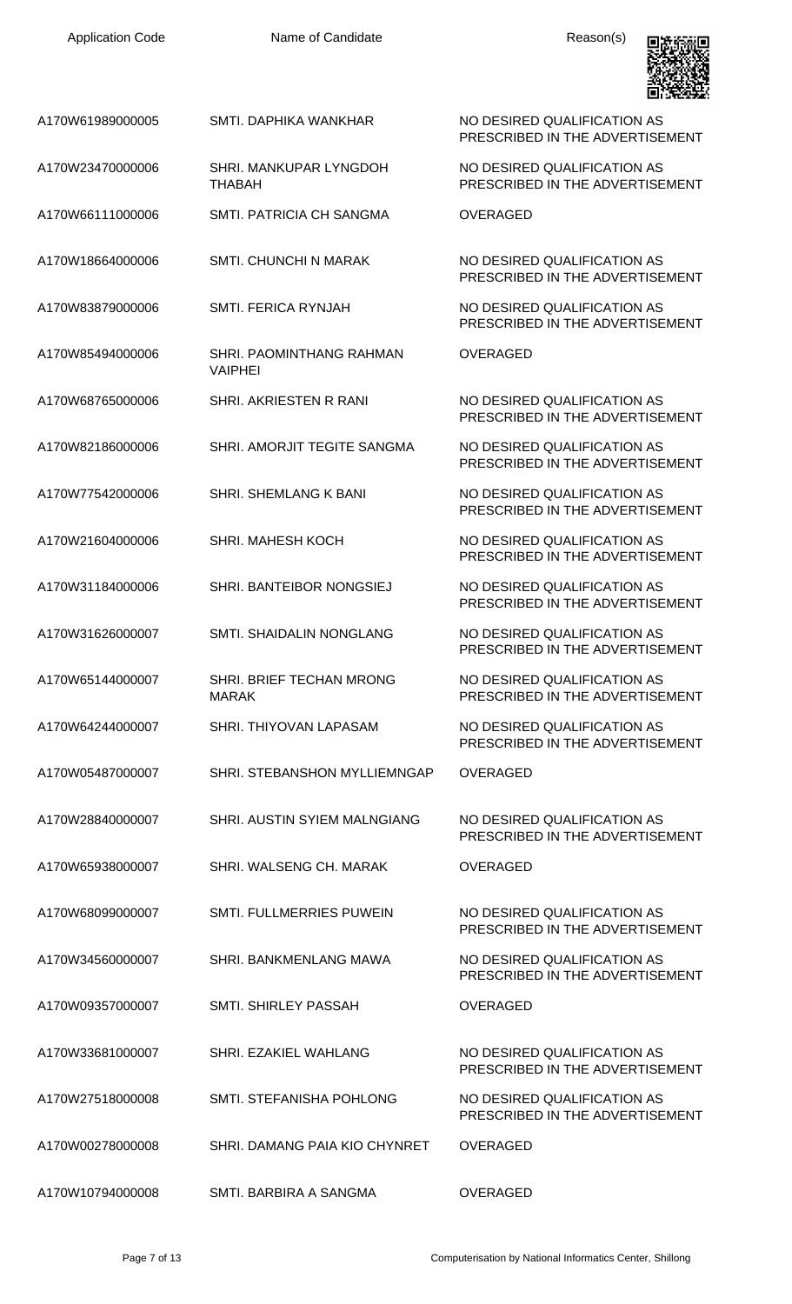|                  |                                            | 国语名法                                                           |
|------------------|--------------------------------------------|----------------------------------------------------------------|
| A170W61989000005 | SMTI. DAPHIKA WANKHAR                      | NO DESIRED QUALIFICATION AS<br>PRESCRIBED IN THE ADVERTISEMENT |
| A170W23470000006 | SHRI, MANKUPAR LYNGDOH<br><b>THABAH</b>    | NO DESIRED QUALIFICATION AS<br>PRESCRIBED IN THE ADVERTISEMENT |
| A170W66111000006 | SMTI. PATRICIA CH SANGMA                   | <b>OVERAGED</b>                                                |
| A170W18664000006 | <b>SMTI. CHUNCHI N MARAK</b>               | NO DESIRED QUALIFICATION AS<br>PRESCRIBED IN THE ADVERTISEMENT |
| A170W83879000006 | <b>SMTI. FERICA RYNJAH</b>                 | NO DESIRED QUALIFICATION AS<br>PRESCRIBED IN THE ADVERTISEMENT |
| A170W85494000006 | SHRI. PAOMINTHANG RAHMAN<br><b>VAIPHEI</b> | <b>OVERAGED</b>                                                |
| A170W68765000006 | SHRI. AKRIESTEN R RANI                     | NO DESIRED QUALIFICATION AS<br>PRESCRIBED IN THE ADVERTISEMENT |
| A170W82186000006 | SHRI. AMORJIT TEGITE SANGMA                | NO DESIRED QUALIFICATION AS<br>PRESCRIBED IN THE ADVERTISEMENT |
| A170W77542000006 | <b>SHRI. SHEMLANG K BANI</b>               | NO DESIRED QUALIFICATION AS<br>PRESCRIBED IN THE ADVERTISEMENT |
| A170W21604000006 | <b>SHRI. MAHESH KOCH</b>                   | NO DESIRED QUALIFICATION AS<br>PRESCRIBED IN THE ADVERTISEMENT |
| A170W31184000006 | SHRI. BANTEIBOR NONGSIEJ                   | NO DESIRED QUALIFICATION AS<br>PRESCRIBED IN THE ADVERTISEMENT |
| A170W31626000007 | <b>SMTI. SHAIDALIN NONGLANG</b>            | NO DESIRED QUALIFICATION AS<br>PRESCRIBED IN THE ADVERTISEMENT |
| A170W65144000007 | SHRI. BRIEF TECHAN MRONG<br><b>MARAK</b>   | NO DESIRED QUALIFICATION AS<br>PRESCRIBED IN THE ADVERTISEMENT |
| A170W64244000007 | SHRI. THIYOVAN LAPASAM                     | NO DESIRED QUALIFICATION AS<br>PRESCRIBED IN THE ADVERTISEMENT |
| A170W05487000007 | SHRI. STEBANSHON MYLLIEMNGAP               | <b>OVERAGED</b>                                                |
| A170W28840000007 | SHRI. AUSTIN SYIEM MALNGIANG               | NO DESIRED QUALIFICATION AS<br>PRESCRIBED IN THE ADVERTISEMENT |
| A170W65938000007 | SHRI. WALSENG CH. MARAK                    | <b>OVERAGED</b>                                                |
| A170W68099000007 | SMTI. FULLMERRIES PUWEIN                   | NO DESIRED QUALIFICATION AS<br>PRESCRIBED IN THE ADVERTISEMENT |
| A170W34560000007 | SHRI. BANKMENLANG MAWA                     | NO DESIRED QUALIFICATION AS<br>PRESCRIBED IN THE ADVERTISEMENT |
| A170W09357000007 | SMTI. SHIRLEY PASSAH                       | <b>OVERAGED</b>                                                |
| A170W33681000007 | SHRI. EZAKIEL WAHLANG                      | NO DESIRED QUALIFICATION AS<br>PRESCRIBED IN THE ADVERTISEMENT |
| A170W27518000008 | SMTI, STEFANISHA POHLONG                   | NO DESIRED QUALIFICATION AS<br>PRESCRIBED IN THE ADVERTISEMENT |
| A170W00278000008 | SHRI. DAMANG PAIA KIO CHYNRET              | <b>OVERAGED</b>                                                |
| A170W10794000008 | SMTI, BARBIRA A SANGMA                     | <b>OVERAGED</b>                                                |

п.

Ξ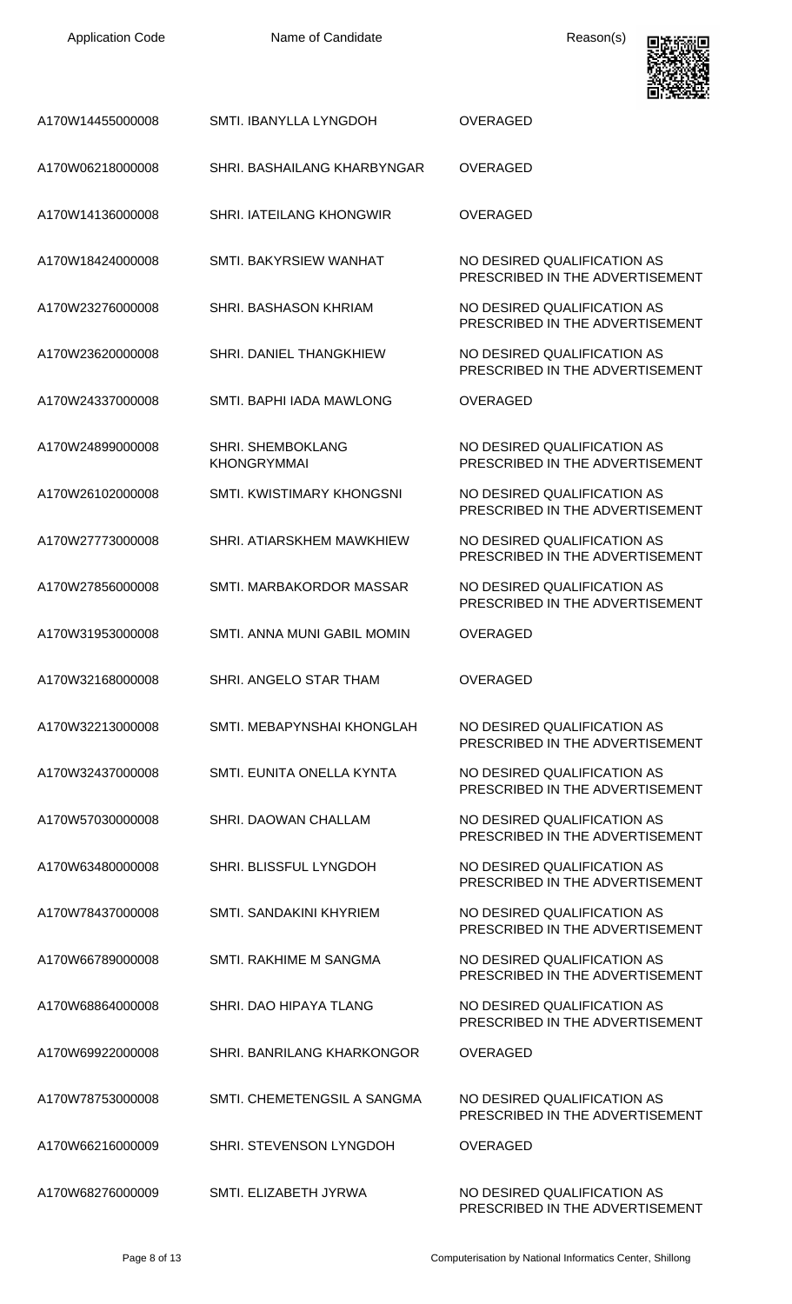| <b>Application Code</b> |  |
|-------------------------|--|
|-------------------------|--|

Name of Candidate **Reason(s)** 



| A170W14455000008 | SMTI. IBANYLLA LYNGDOH                         | <b>OVERAGED</b>                                                |
|------------------|------------------------------------------------|----------------------------------------------------------------|
| A170W06218000008 | SHRI. BASHAILANG KHARBYNGAR                    | <b>OVERAGED</b>                                                |
| A170W14136000008 | <b>SHRI. IATEILANG KHONGWIR</b>                | <b>OVERAGED</b>                                                |
| A170W18424000008 | SMTI. BAKYRSIEW WANHAT                         | NO DESIRED QUALIFICATION AS<br>PRESCRIBED IN THE ADVERTISEMENT |
| A170W23276000008 | SHRI. BASHASON KHRIAM                          | NO DESIRED QUALIFICATION AS<br>PRESCRIBED IN THE ADVERTISEMENT |
| A170W23620000008 | SHRI. DANIEL THANGKHIEW                        | NO DESIRED QUALIFICATION AS<br>PRESCRIBED IN THE ADVERTISEMENT |
| A170W24337000008 | SMTI. BAPHI IADA MAWLONG                       | <b>OVERAGED</b>                                                |
| A170W24899000008 | <b>SHRI. SHEMBOKLANG</b><br><b>KHONGRYMMAI</b> | NO DESIRED QUALIFICATION AS<br>PRESCRIBED IN THE ADVERTISEMENT |
| A170W26102000008 | SMTI. KWISTIMARY KHONGSNI                      | NO DESIRED QUALIFICATION AS<br>PRESCRIBED IN THE ADVERTISEMENT |
| A170W27773000008 | SHRI. ATIARSKHEM MAWKHIEW                      | NO DESIRED QUALIFICATION AS<br>PRESCRIBED IN THE ADVERTISEMENT |
| A170W27856000008 | SMTI. MARBAKORDOR MASSAR                       | NO DESIRED QUALIFICATION AS<br>PRESCRIBED IN THE ADVERTISEMENT |
| A170W31953000008 | SMTI. ANNA MUNI GABIL MOMIN                    | <b>OVERAGED</b>                                                |
|                  |                                                |                                                                |
| A170W32168000008 | SHRI. ANGELO STAR THAM                         | <b>OVERAGED</b>                                                |
| A170W32213000008 | SMTI. MEBAPYNSHAI KHONGLAH                     | NO DESIRED QUALIFICATION AS<br>PRESCRIBED IN THE ADVERTISEMENT |
| A170W32437000008 | SMTI. EUNITA ONELLA KYNTA                      | NO DESIRED QUALIFICATION AS<br>PRESCRIBED IN THE ADVERTISEMENT |
| A170W57030000008 | SHRI. DAOWAN CHALLAM                           | NO DESIRED QUALIFICATION AS<br>PRESCRIBED IN THE ADVERTISEMENT |
| A170W63480000008 | SHRI. BLISSFUL LYNGDOH                         | NO DESIRED QUALIFICATION AS<br>PRESCRIBED IN THE ADVERTISEMENT |
| A170W78437000008 | SMTI. SANDAKINI KHYRIEM                        | NO DESIRED QUALIFICATION AS<br>PRESCRIBED IN THE ADVERTISEMENT |
| A170W66789000008 | SMTI. RAKHIME M SANGMA                         | NO DESIRED QUALIFICATION AS<br>PRESCRIBED IN THE ADVERTISEMENT |
| A170W68864000008 | SHRI. DAO HIPAYA TLANG                         | NO DESIRED QUALIFICATION AS<br>PRESCRIBED IN THE ADVERTISEMENT |
| A170W69922000008 | <b>SHRI. BANRILANG KHARKONGOR</b>              | <b>OVERAGED</b>                                                |
| A170W78753000008 | SMTI. CHEMETENGSIL A SANGMA                    | NO DESIRED QUALIFICATION AS<br>PRESCRIBED IN THE ADVERTISEMENT |
| A170W66216000009 | SHRI. STEVENSON LYNGDOH                        | <b>OVERAGED</b>                                                |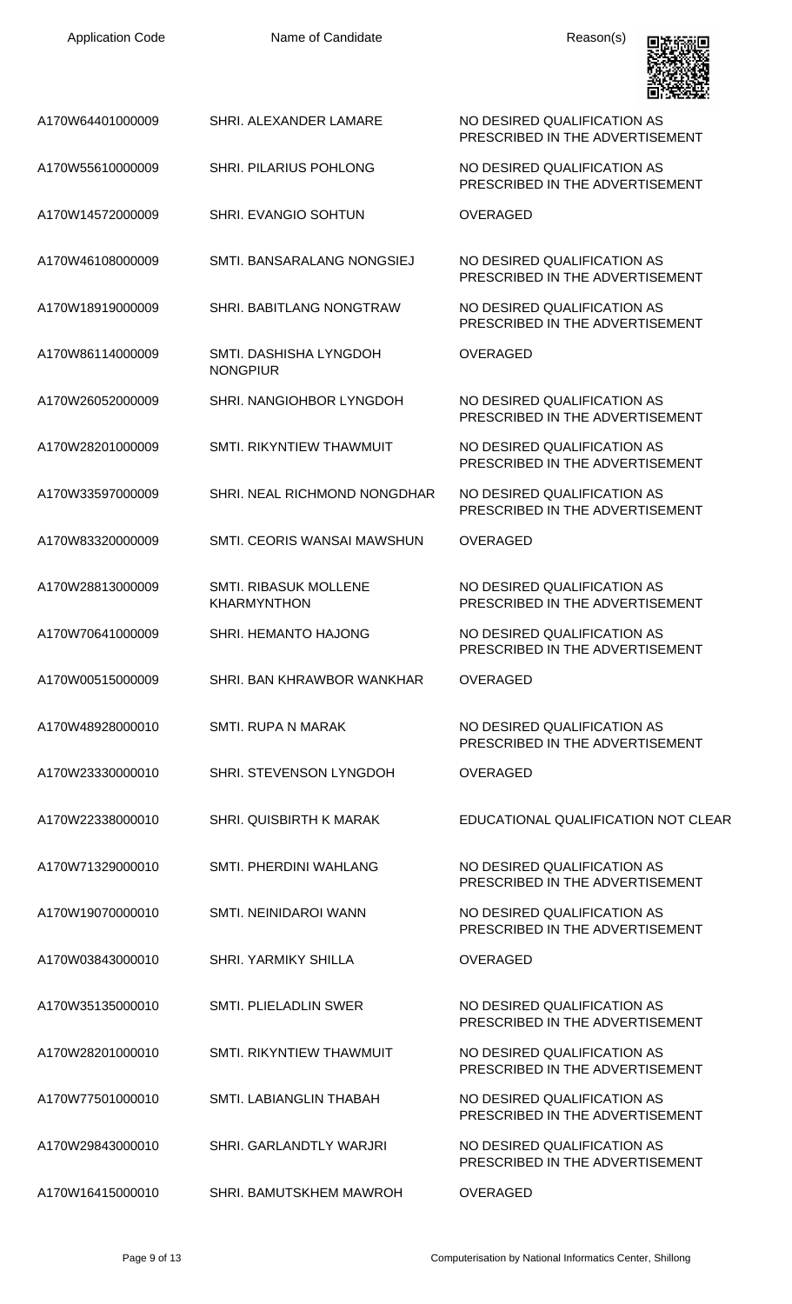| <b>Application Code</b> | Name of Candidate                                  | Reason(s)                                                      |
|-------------------------|----------------------------------------------------|----------------------------------------------------------------|
| A170W64401000009        | SHRI. ALEXANDER LAMARE                             | NO DESIRED QUALIFICATION AS<br>PRESCRIBED IN THE ADVERTISEMENT |
| A170W55610000009        | <b>SHRI. PILARIUS POHLONG</b>                      | NO DESIRED QUALIFICATION AS<br>PRESCRIBED IN THE ADVERTISEMENT |
| A170W14572000009        | <b>SHRI. EVANGIO SOHTUN</b>                        | <b>OVERAGED</b>                                                |
| A170W46108000009        | SMTI, BANSARALANG NONGSIEJ                         | NO DESIRED QUALIFICATION AS<br>PRESCRIBED IN THE ADVERTISEMENT |
| A170W18919000009        | <b>SHRI. BABITLANG NONGTRAW</b>                    | NO DESIRED QUALIFICATION AS<br>PRESCRIBED IN THE ADVERTISEMENT |
| A170W86114000009        | SMTI. DASHISHA LYNGDOH<br><b>NONGPIUR</b>          | <b>OVERAGED</b>                                                |
| A170W26052000009        | SHRI. NANGIOHBOR LYNGDOH                           | NO DESIRED QUALIFICATION AS<br>PRESCRIBED IN THE ADVERTISEMENT |
| A170W28201000009        | SMTI, RIKYNTIEW THAWMUIT                           | NO DESIRED QUALIFICATION AS<br>PRESCRIBED IN THE ADVERTISEMENT |
| A170W33597000009        | SHRI. NEAL RICHMOND NONGDHAR                       | NO DESIRED QUALIFICATION AS<br>PRESCRIBED IN THE ADVERTISEMENT |
| A170W83320000009        | SMTI. CEORIS WANSAI MAWSHUN                        | <b>OVERAGED</b>                                                |
| A170W28813000009        | <b>SMTI. RIBASUK MOLLENE</b><br><b>KHARMYNTHON</b> | NO DESIRED QUALIFICATION AS<br>PRESCRIBED IN THE ADVERTISEMENT |
| A170W70641000009        | <b>SHRI. HEMANTO HAJONG</b>                        | NO DESIRED QUALIFICATION AS<br>PRESCRIBED IN THE ADVERTISEMENT |
| A170W00515000009        | SHRI. BAN KHRAWBOR WANKHAR                         | <b>OVERAGED</b>                                                |
| A170W48928000010        | <b>SMTL RUPA N MARAK</b>                           | NO DESIRED QUALIFICATION AS<br>PRESCRIBED IN THE ADVERTISEMENT |
| A170W23330000010        | SHRI. STEVENSON LYNGDOH                            | <b>OVERAGED</b>                                                |
| A170W22338000010        | <b>SHRI. QUISBIRTH K MARAK</b>                     | EDUCATIONAL QUALIFICATION NOT CLEAR                            |
| A170W71329000010        | SMTI. PHERDINI WAHLANG                             | NO DESIRED QUALIFICATION AS<br>PRESCRIBED IN THE ADVERTISEMENT |
| A170W19070000010        | <b>SMTI. NEINIDAROI WANN</b>                       | NO DESIRED QUALIFICATION AS<br>PRESCRIBED IN THE ADVERTISEMENT |
| A170W03843000010        | <b>SHRI. YARMIKY SHILLA</b>                        | <b>OVERAGED</b>                                                |
| A170W35135000010        | <b>SMTI. PLIELADLIN SWER</b>                       | NO DESIRED QUALIFICATION AS<br>PRESCRIBED IN THE ADVERTISEMENT |
| A170W28201000010        | SMTI, RIKYNTIEW THAWMUIT                           | NO DESIRED QUALIFICATION AS<br>PRESCRIBED IN THE ADVERTISEMENT |
| A170W77501000010        | SMTI. LABIANGLIN THABAH                            | NO DESIRED QUALIFICATION AS<br>PRESCRIBED IN THE ADVERTISEMENT |
| A170W29843000010        | SHRI. GARLANDTLY WARJRI                            | NO DESIRED QUALIFICATION AS<br>PRESCRIBED IN THE ADVERTISEMENT |
| A170W16415000010        | SHRI. BAMUTSKHEM MAWROH                            | OVERAGED                                                       |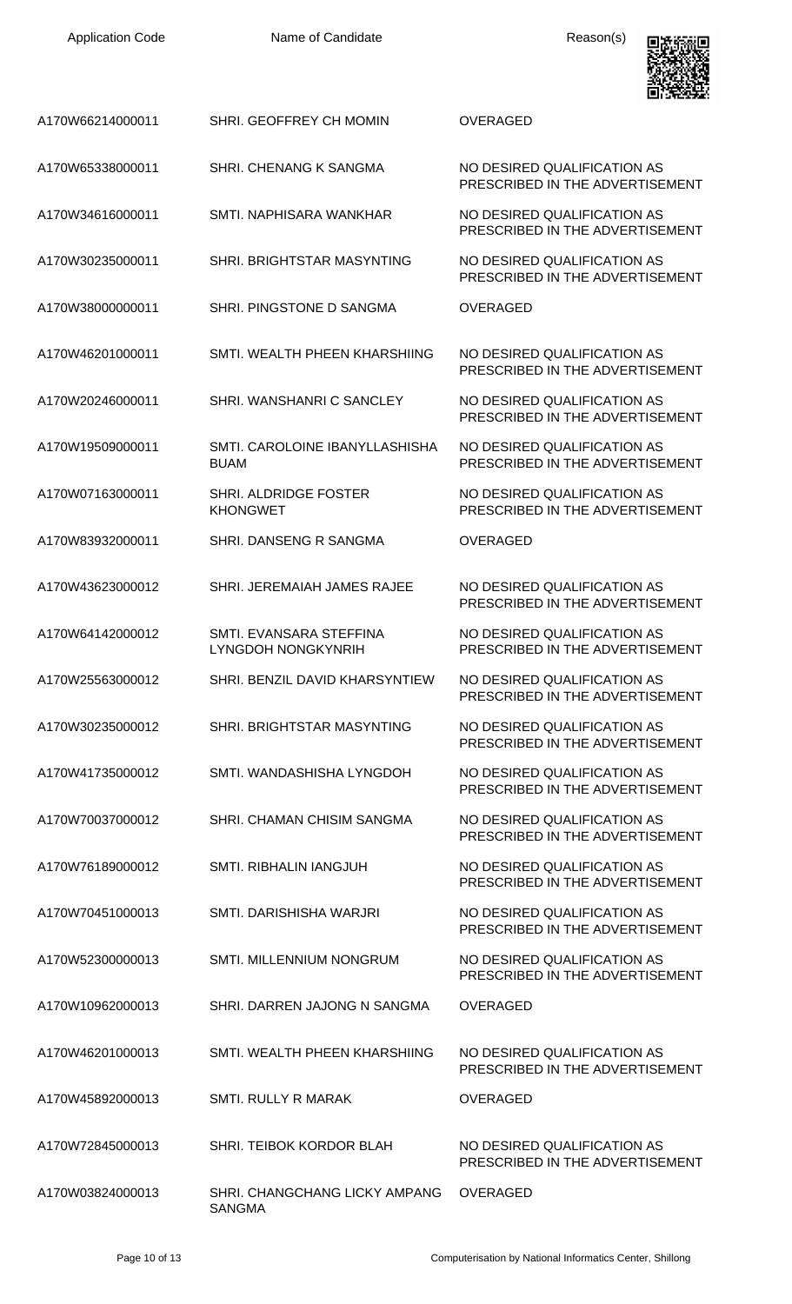| <b>Application Code</b> | Name of Candidate                                    | Reason(s)                                                      |
|-------------------------|------------------------------------------------------|----------------------------------------------------------------|
| A170W66214000011        | SHRI. GEOFFREY CH MOMIN                              | <b>OVERAGED</b>                                                |
| A170W65338000011        | SHRI. CHENANG K SANGMA                               | NO DESIRED QUALIFICATION AS<br>PRESCRIBED IN THE ADVERTISEMENT |
| A170W34616000011        | SMTI. NAPHISARA WANKHAR                              | NO DESIRED QUALIFICATION AS<br>PRESCRIBED IN THE ADVERTISEMENT |
| A170W30235000011        | SHRI. BRIGHTSTAR MASYNTING                           | NO DESIRED QUALIFICATION AS<br>PRESCRIBED IN THE ADVERTISEMENT |
| A170W38000000011        | SHRI. PINGSTONE D SANGMA                             | <b>OVERAGED</b>                                                |
| A170W46201000011        | SMTI. WEALTH PHEEN KHARSHIING                        | NO DESIRED QUALIFICATION AS<br>PRESCRIBED IN THE ADVERTISEMENT |
| A170W20246000011        | SHRI. WANSHANRI C SANCLEY                            | NO DESIRED QUALIFICATION AS<br>PRESCRIBED IN THE ADVERTISEMENT |
| A170W19509000011        | SMTI. CAROLOINE IBANYLLASHISHA<br><b>BUAM</b>        | NO DESIRED QUALIFICATION AS<br>PRESCRIBED IN THE ADVERTISEMENT |
| A170W07163000011        | SHRI. ALDRIDGE FOSTER<br><b>KHONGWET</b>             | NO DESIRED QUALIFICATION AS<br>PRESCRIBED IN THE ADVERTISEMENT |
| A170W83932000011        | SHRI. DANSENG R SANGMA                               | <b>OVERAGED</b>                                                |
| A170W43623000012        | SHRI. JEREMAIAH JAMES RAJEE                          | NO DESIRED QUALIFICATION AS<br>PRESCRIBED IN THE ADVERTISEMENT |
| A170W64142000012        | SMTI. EVANSARA STEFFINA<br><b>LYNGDOH NONGKYNRIH</b> | NO DESIRED QUALIFICATION AS<br>PRESCRIBED IN THE ADVERTISEMENT |
| A170W25563000012        | SHRI, BENZIL DAVID KHARSYNTIEW                       | NO DESIRED QUALIFICATION AS<br>PRESCRIBED IN THE ADVERTISEMENT |
| A170W30235000012        | SHRI. BRIGHTSTAR MASYNTING                           | NO DESIRED QUALIFICATION AS<br>PRESCRIBED IN THE ADVERTISEMENT |
| A170W41735000012        | SMTI. WANDASHISHA LYNGDOH                            | NO DESIRED QUALIFICATION AS<br>PRESCRIBED IN THE ADVERTISEMENT |
| A170W70037000012        | SHRI. CHAMAN CHISIM SANGMA                           | NO DESIRED QUALIFICATION AS<br>PRESCRIBED IN THE ADVERTISEMENT |
| A170W76189000012        | SMTI. RIBHALIN IANGJUH                               | NO DESIRED QUALIFICATION AS<br>PRESCRIBED IN THE ADVERTISEMENT |
| A170W70451000013        | SMTI. DARISHISHA WARJRI                              | NO DESIRED QUALIFICATION AS<br>PRESCRIBED IN THE ADVERTISEMENT |
| A170W52300000013        | SMTI. MILLENNIUM NONGRUM                             | NO DESIRED QUALIFICATION AS<br>PRESCRIBED IN THE ADVERTISEMENT |
| A170W10962000013        | SHRI. DARREN JAJONG N SANGMA                         | <b>OVERAGED</b>                                                |
| A170W46201000013        | SMTI. WEALTH PHEEN KHARSHIING                        | NO DESIRED QUALIFICATION AS<br>PRESCRIBED IN THE ADVERTISEMENT |
| A170W45892000013        | <b>SMTI. RULLY R MARAK</b>                           | <b>OVERAGED</b>                                                |
| A170W72845000013        | SHRI. TEIBOK KORDOR BLAH                             | NO DESIRED QUALIFICATION AS<br>PRESCRIBED IN THE ADVERTISEMENT |
| A170W03824000013        | SHRI. CHANGCHANG LICKY AMPANG<br><b>SANGMA</b>       | OVERAGED                                                       |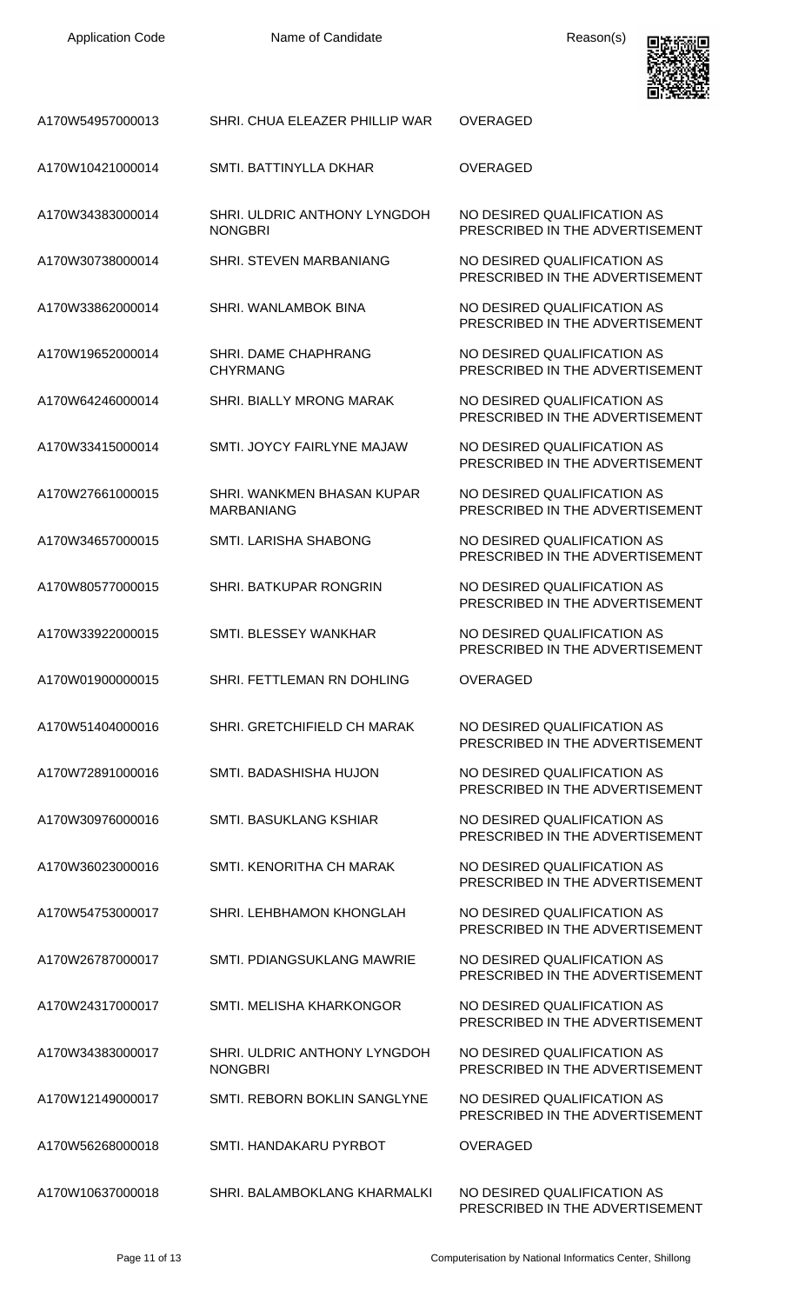

| A170W54957000013 | SHRI, CHUA ELEAZER PHILLIP WAR                  | <b>OVERAGED</b>                                                |
|------------------|-------------------------------------------------|----------------------------------------------------------------|
| A170W10421000014 | SMTI. BATTINYLLA DKHAR                          | <b>OVERAGED</b>                                                |
| A170W34383000014 | SHRI. ULDRIC ANTHONY LYNGDOH<br><b>NONGBRI</b>  | NO DESIRED QUALIFICATION AS<br>PRESCRIBED IN THE ADVERTISEMENT |
| A170W30738000014 | SHRI. STEVEN MARBANIANG                         | NO DESIRED QUALIFICATION AS<br>PRESCRIBED IN THE ADVERTISEMENT |
| A170W33862000014 | SHRI. WANLAMBOK BINA                            | NO DESIRED QUALIFICATION AS<br>PRESCRIBED IN THE ADVERTISEMENT |
| A170W19652000014 | SHRI. DAME CHAPHRANG<br><b>CHYRMANG</b>         | NO DESIRED QUALIFICATION AS<br>PRESCRIBED IN THE ADVERTISEMENT |
| A170W64246000014 | SHRI. BIALLY MRONG MARAK                        | NO DESIRED QUALIFICATION AS<br>PRESCRIBED IN THE ADVERTISEMENT |
| A170W33415000014 | SMTI, JOYCY FAIRLYNE MAJAW                      | NO DESIRED QUALIFICATION AS<br>PRESCRIBED IN THE ADVERTISEMENT |
| A170W27661000015 | SHRI. WANKMEN BHASAN KUPAR<br><b>MARBANIANG</b> | NO DESIRED QUALIFICATION AS<br>PRESCRIBED IN THE ADVERTISEMENT |
| A170W34657000015 | SMTI. LARISHA SHABONG                           | NO DESIRED QUALIFICATION AS<br>PRESCRIBED IN THE ADVERTISEMENT |
| A170W80577000015 | SHRI. BATKUPAR RONGRIN                          | NO DESIRED QUALIFICATION AS<br>PRESCRIBED IN THE ADVERTISEMENT |
| A170W33922000015 | SMTI. BLESSEY WANKHAR                           | NO DESIRED QUALIFICATION AS<br>PRESCRIBED IN THE ADVERTISEMENT |
|                  |                                                 |                                                                |
| A170W01900000015 | SHRI. FETTLEMAN RN DOHLING                      | <b>OVERAGED</b>                                                |
| A170W51404000016 | SHRI. GRETCHIFIELD CH MARAK                     | NO DESIRED QUALIFICATION AS<br>PRESCRIBED IN THE ADVERTISEMENT |
| A170W72891000016 | SMTI. BADASHISHA HUJON                          | NO DESIRED QUALIFICATION AS<br>PRESCRIBED IN THE ADVERTISEMENT |
| A170W30976000016 | <b>SMTI. BASUKLANG KSHIAR</b>                   | NO DESIRED OUALIFICATION AS<br>PRESCRIBED IN THE ADVERTISEMENT |
| A170W36023000016 | SMTI. KENORITHA CH MARAK                        | NO DESIRED QUALIFICATION AS<br>PRESCRIBED IN THE ADVERTISEMENT |
| A170W54753000017 | SHRI. LEHBHAMON KHONGLAH                        | NO DESIRED QUALIFICATION AS<br>PRESCRIBED IN THE ADVERTISEMENT |
| A170W26787000017 | SMTI. PDIANGSUKLANG MAWRIE                      | NO DESIRED QUALIFICATION AS<br>PRESCRIBED IN THE ADVERTISEMENT |
| A170W24317000017 | SMTI. MELISHA KHARKONGOR                        | NO DESIRED QUALIFICATION AS<br>PRESCRIBED IN THE ADVERTISEMENT |
| A170W34383000017 | SHRI. ULDRIC ANTHONY LYNGDOH<br><b>NONGBRI</b>  | NO DESIRED QUALIFICATION AS<br>PRESCRIBED IN THE ADVERTISEMENT |
| A170W12149000017 | <b>SMTI. REBORN BOKLIN SANGLYNE</b>             | NO DESIRED QUALIFICATION AS<br>PRESCRIBED IN THE ADVERTISEMENT |
| A170W56268000018 | SMTI. HANDAKARU PYRBOT                          | <b>OVERAGED</b>                                                |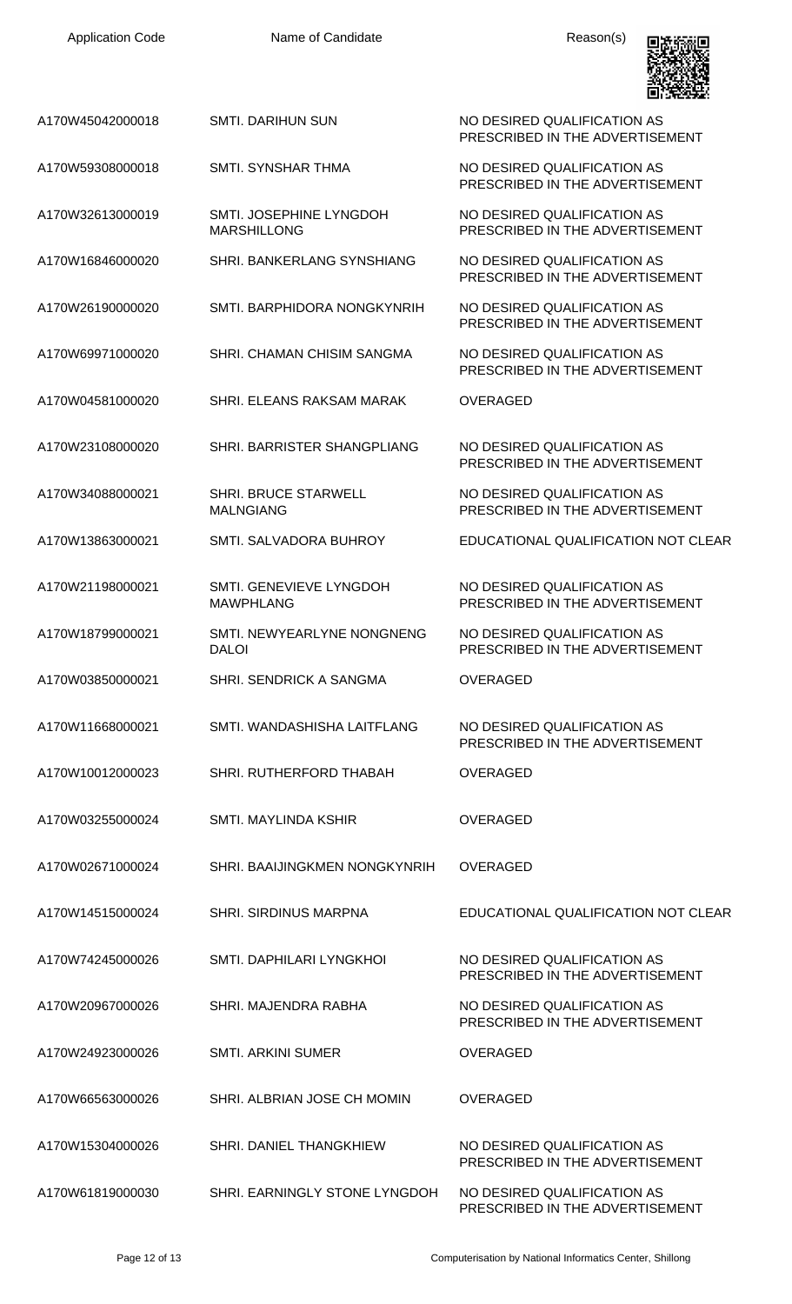|                  |                                                 | 回答之手头                                                          |
|------------------|-------------------------------------------------|----------------------------------------------------------------|
| A170W45042000018 | <b>SMTI. DARIHUN SUN</b>                        | NO DESIRED QUALIFICATION AS<br>PRESCRIBED IN THE ADVERTISEMENT |
| A170W59308000018 | SMTI. SYNSHAR THMA                              | NO DESIRED QUALIFICATION AS<br>PRESCRIBED IN THE ADVERTISEMENT |
| A170W32613000019 | SMTI. JOSEPHINE LYNGDOH<br><b>MARSHILLONG</b>   | NO DESIRED QUALIFICATION AS<br>PRESCRIBED IN THE ADVERTISEMENT |
| A170W16846000020 | <b>SHRI. BANKERLANG SYNSHIANG</b>               | NO DESIRED QUALIFICATION AS<br>PRESCRIBED IN THE ADVERTISEMENT |
| A170W26190000020 | SMTI. BARPHIDORA NONGKYNRIH                     | NO DESIRED QUALIFICATION AS<br>PRESCRIBED IN THE ADVERTISEMENT |
| A170W69971000020 | SHRI. CHAMAN CHISIM SANGMA                      | NO DESIRED QUALIFICATION AS<br>PRESCRIBED IN THE ADVERTISEMENT |
| A170W04581000020 | SHRI. ELEANS RAKSAM MARAK                       | OVERAGED                                                       |
| A170W23108000020 | SHRI. BARRISTER SHANGPLIANG                     | NO DESIRED OUALIFICATION AS<br>PRESCRIBED IN THE ADVERTISEMENT |
| A170W34088000021 | <b>SHRI. BRUCE STARWELL</b><br><b>MALNGIANG</b> | NO DESIRED QUALIFICATION AS<br>PRESCRIBED IN THE ADVERTISEMENT |
| A170W13863000021 | SMTI. SALVADORA BUHROY                          | EDUCATIONAL QUALIFICATION NOT CLEAR                            |
| A170W21198000021 | SMTI. GENEVIEVE LYNGDOH<br><b>MAWPHLANG</b>     | NO DESIRED QUALIFICATION AS<br>PRESCRIBED IN THE ADVERTISEMENT |
| A170W18799000021 | SMTI. NEWYEARLYNE NONGNENG<br><b>DALOI</b>      | NO DESIRED QUALIFICATION AS<br>PRESCRIBED IN THE ADVERTISEMENT |
| A170W03850000021 | SHRI. SENDRICK A SANGMA                         | <b>OVERAGED</b>                                                |
| A170W11668000021 | SMTI. WANDASHISHA LAITFLANG                     | NO DESIRED QUALIFICATION AS<br>PRESCRIBED IN THE ADVERTISEMENT |
| A170W10012000023 | SHRI. RUTHERFORD THABAH                         | <b>OVERAGED</b>                                                |
| A170W03255000024 | <b>SMTI. MAYLINDA KSHIR</b>                     | <b>OVERAGED</b>                                                |
| A170W02671000024 | SHRI. BAAIJINGKMEN NONGKYNRIH                   | OVERAGED                                                       |
| A170W14515000024 | <b>SHRI. SIRDINUS MARPNA</b>                    | EDUCATIONAL QUALIFICATION NOT CLEAR                            |
| A170W74245000026 | SMTI. DAPHILARI LYNGKHOI                        | NO DESIRED QUALIFICATION AS<br>PRESCRIBED IN THE ADVERTISEMENT |
| A170W20967000026 | SHRI. MAJENDRA RABHA                            | NO DESIRED QUALIFICATION AS<br>PRESCRIBED IN THE ADVERTISEMENT |
| A170W24923000026 | <b>SMTI. ARKINI SUMER</b>                       | <b>OVERAGED</b>                                                |
| A170W66563000026 | SHRI. ALBRIAN JOSE CH MOMIN                     | <b>OVERAGED</b>                                                |
| A170W15304000026 | SHRI. DANIEL THANGKHIEW                         | NO DESIRED QUALIFICATION AS<br>PRESCRIBED IN THE ADVERTISEMENT |
| A170W61819000030 | SHRI. EARNINGLY STONE LYNGDOH                   | NO DESIRED QUALIFICATION AS<br>PRESCRIBED IN THE ADVERTISEMENT |

回游的

Ξ